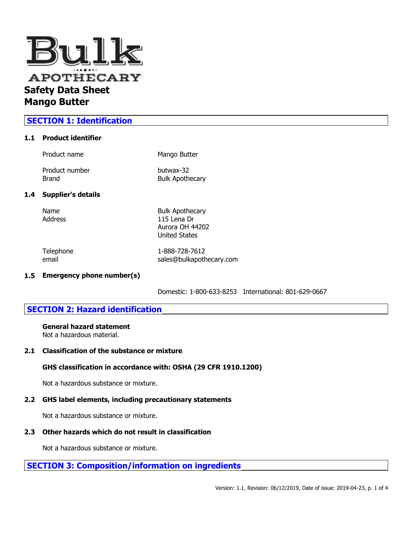

# **SECTION 1: Identification**

## **1.1 Product identifier**

| Product name              | Mango Butter                        |
|---------------------------|-------------------------------------|
| Product number<br>Brand   | butwax-32<br><b>Bulk Apothecary</b> |
| <b>Supplier's details</b> |                                     |

# **1.4 Supplier's details**

| Name    |  |
|---------|--|
| Address |  |
|         |  |

Name Bulk Apothecary 115 Lena Dr Aurora OH 44202 United States

Telephone 1-888-728-7612 email sales@bulkapothecary.com

## **1.5 Emergency phone number(s)**

Domestic: 1-800-633-8253 International: 801-629-0667

# **SECTION 2: Hazard identification**

# **General hazard statement**

Not a hazardous material.

#### **2.1 Classification of the substance or mixture**

## **GHS classification in accordance with: OSHA (29 CFR 1910.1200)**

Not a hazardous substance or mixture.

#### **2.2 GHS label elements, including precautionary statements**

Not a hazardous substance or mixture.

## **2.3 Other hazards which do not result in classification**

Not a hazardous substance or mixture.

## **SECTION 3: Composition/information on ingredients**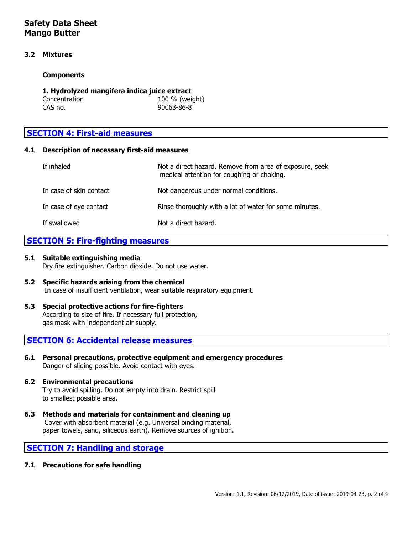# **Safety Data Sheet Mango Butter**

### **3.2 Mixtures**

#### **Components**

| 1. Hydrolyzed mangifera indica juice extract |                |  |
|----------------------------------------------|----------------|--|
| Concentration                                | 100 % (weight) |  |
| CAS no.                                      | 90063-86-8     |  |

# **SECTION 4: First-aid measures**

## **4.1 Description of necessary first-aid measures**

| If inhaled              | Not a direct hazard. Remove from area of exposure, seek<br>medical attention for coughing or choking. |
|-------------------------|-------------------------------------------------------------------------------------------------------|
| In case of skin contact | Not dangerous under normal conditions.                                                                |
| In case of eye contact  | Rinse thoroughly with a lot of water for some minutes.                                                |
| If swallowed            | Not a direct hazard.                                                                                  |

## **SECTION 5: Fire-fighting measures**

#### **5.1 Suitable extinguishing media**

Dry fire extinguisher. Carbon dioxide. Do not use water.

- **5.2 Specific hazards arising from the chemical** In case of insufficient ventilation, wear suitable respiratory equipment.
- **5.3 Special protective actions for fire-fighters** According to size of fire. If necessary full protection, gas mask with independent air supply.

## **SECTION 6: Accidental release measures**

**6.1 Personal precautions, protective equipment and emergency procedures** Danger of sliding possible. Avoid contact with eyes.

#### **6.2 Environmental precautions** Try to avoid spilling. Do not empty into drain. Restrict spill to smallest possible area.

**6.3 Methods and materials for containment and cleaning up** Cover with absorbent material (e.g. Universal binding material, paper towels, sand, siliceous earth). Remove sources of ignition.

## **SECTION 7: Handling and storage**

**7.1 Precautions for safe handling**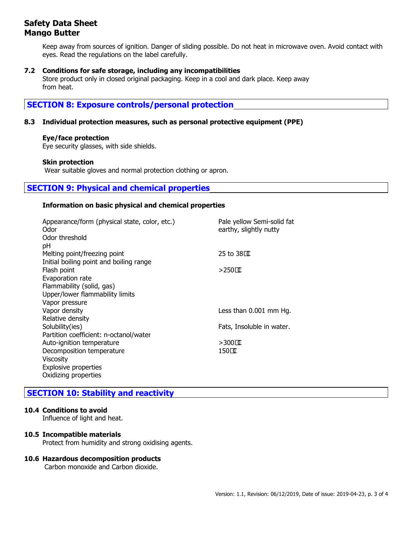# **Safety Data Sheet Mango Butter**

Keep away from sources of ignition. Danger of sliding possible. Do not heat in microwave oven. Avoid contact with eyes. Read the regulations on the label carefully.

## **7.2 Conditions for safe storage, including any incompatibilities**

Store product only in closed original packaging. Keep in a cool and dark place. Keep away from heat.

# **SECTION 8: Exposure controls/personal protection**

## **8.3 Individual protection measures, such as personal protective equipment (PPE)**

## **Eye/face protection**

Eye security glasses, with side shields.

#### **Skin protection**

Wear suitable gloves and normal protection clothing or apron.

# **SECTION 9: Physical and chemical properties**

#### **Information on basic physical and chemical properties**

| Appearance/form (physical state, color, etc.)<br>Odor<br>Odor threshold | Pale yellow Semi-solid fat<br>earthy, slightly nutty |
|-------------------------------------------------------------------------|------------------------------------------------------|
| pH<br>Melting point/freezing point                                      | 25 to $38\Omega$                                     |
| Initial boiling point and boiling range                                 |                                                      |
| Flash point                                                             | $>$ 250 $\alpha$                                     |
| Evaporation rate                                                        |                                                      |
| Flammability (solid, gas)                                               |                                                      |
| Upper/lower flammability limits                                         |                                                      |
| Vapor pressure                                                          |                                                      |
| Vapor density                                                           | Less than 0.001 mm Hg.                               |
| Relative density                                                        |                                                      |
| Solubility(ies)                                                         | Fats, Insoluble in water.                            |
| Partition coefficient: n-octanol/water                                  |                                                      |
| Auto-ignition temperature                                               | $>300$ CC                                            |
| Decomposition temperature                                               | 1500                                                 |
| Viscosity                                                               |                                                      |
| <b>Explosive properties</b>                                             |                                                      |
| Oxidizing properties                                                    |                                                      |

# **SECTION 10: Stability and reactivity**

#### **10.4 Conditions to avoid**

Influence of light and heat.

#### **10.5 Incompatible materials**

Protect from humidity and strong oxidising agents.

#### **10.6 Hazardous decomposition products**

Carbon monoxide and Carbon dioxide.